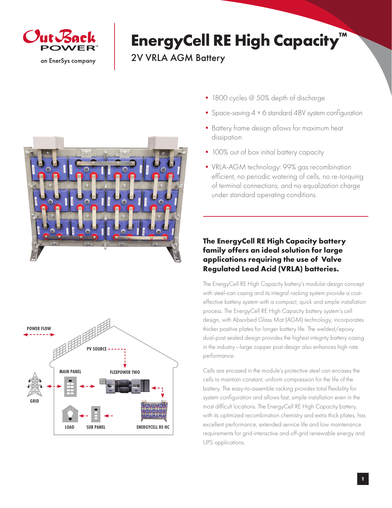

## **EnergyCell RE High Capacity™**

2V VRLA AGM Battery





- 1800 cycles @ 50% depth of discharge
- Space-saving 4 × 6 standard 48V system configuration
- Battery frame design allows for maximum heat dissipation
- 100% out of box initial battery capacity
- VRLA-AGM technology: 99% gas recombination efficient, no periodic watering of cells, no re-torquing of terminal connections, and no equalization charge under standard operating conditions

## **The EnergyCell RE High Capacity battery family offers an ideal solution for large applications requiring the use of Valve Regulated Lead Acid (VRLA) batteries.**

The EnergyCell RE High Capacity battery's modular design concept with steel-can casing and its integral racking system provide a costeffective battery system with a compact, quick and simple installation process. The EnergyCell RE High Capacity battery system's cell design, with Absorbed Glass Mat (AGM) technology, incorporates thicker positive plates for longer battery life. The welded/epoxy dual-post sealed design provides the highest integrity battery casing in the industry—large copper post design also enhances high rate performance.

Cells are encased in the module's protective steel can encases the cells to maintain constant, uniform compression for the life of the battery. The easy-to-assemble racking provides total flexibility for system configuration and allows fast, simple installation even in the most difficult locations. The EnergyCell RE High Capacity battery, with its optimized recombination chemistry and extra thick plates, has excellent performance, extended service life and low maintenance requirements for grid-interactive and off-grid renewable energy and UPS applications.